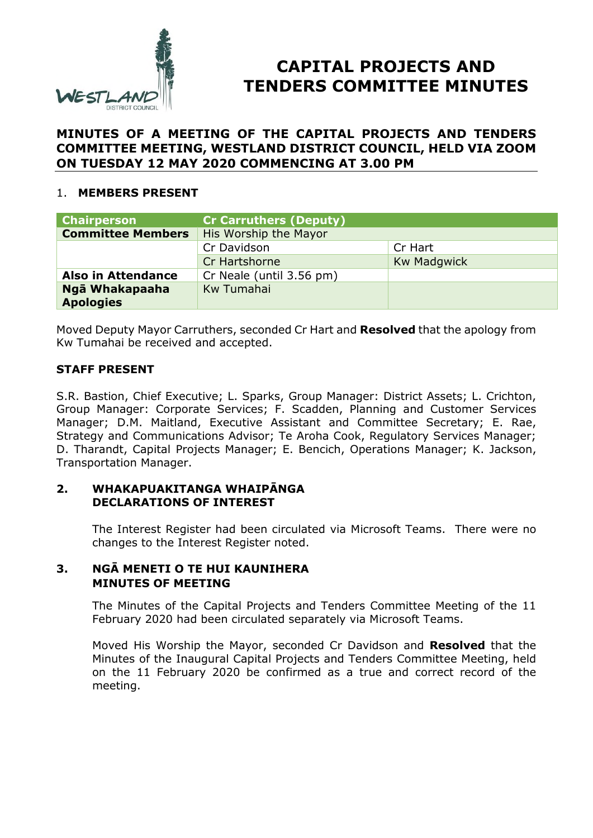

# **CAPITAL PROJECTS AND TENDERS COMMITTEE MINUTES**

## **MINUTES OF A MEETING OF THE CAPITAL PROJECTS AND TENDERS COMMITTEE MEETING, WESTLAND DISTRICT COUNCIL, HELD VIA ZOOM ON TUESDAY 12 MAY 2020 COMMENCING AT 3.00 PM**

## 1. **MEMBERS PRESENT**

| <b>Chairperson</b>        | <b>Cr Carruthers (Deputy)</b> |                    |
|---------------------------|-------------------------------|--------------------|
| <b>Committee Members</b>  | His Worship the Mayor         |                    |
|                           | Cr Davidson                   | Cr Hart            |
|                           | Cr Hartshorne                 | <b>Kw Madgwick</b> |
| <b>Also in Attendance</b> | Cr Neale (until 3.56 pm)      |                    |
| Ngā Whakapaaha            | Kw Tumahai                    |                    |
| <b>Apologies</b>          |                               |                    |

Moved Deputy Mayor Carruthers, seconded Cr Hart and **Resolved** that the apology from Kw Tumahai be received and accepted.

## **STAFF PRESENT**

S.R. Bastion, Chief Executive; L. Sparks, Group Manager: District Assets; L. Crichton, Group Manager: Corporate Services; F. Scadden, Planning and Customer Services Manager; D.M. Maitland, Executive Assistant and Committee Secretary; E. Rae, Strategy and Communications Advisor; Te Aroha Cook, Regulatory Services Manager; D. Tharandt, Capital Projects Manager; E. Bencich, Operations Manager; K. Jackson, Transportation Manager.

#### **2. WHAKAPUAKITANGA WHAIPĀNGA DECLARATIONS OF INTEREST**

The Interest Register had been circulated via Microsoft Teams. There were no changes to the Interest Register noted.

#### **3. NGĀ MENETI O TE HUI KAUNIHERA MINUTES OF MEETING**

The Minutes of the Capital Projects and Tenders Committee Meeting of the 11 February 2020 had been circulated separately via Microsoft Teams.

Moved His Worship the Mayor, seconded Cr Davidson and **Resolved** that the Minutes of the Inaugural Capital Projects and Tenders Committee Meeting, held on the 11 February 2020 be confirmed as a true and correct record of the meeting.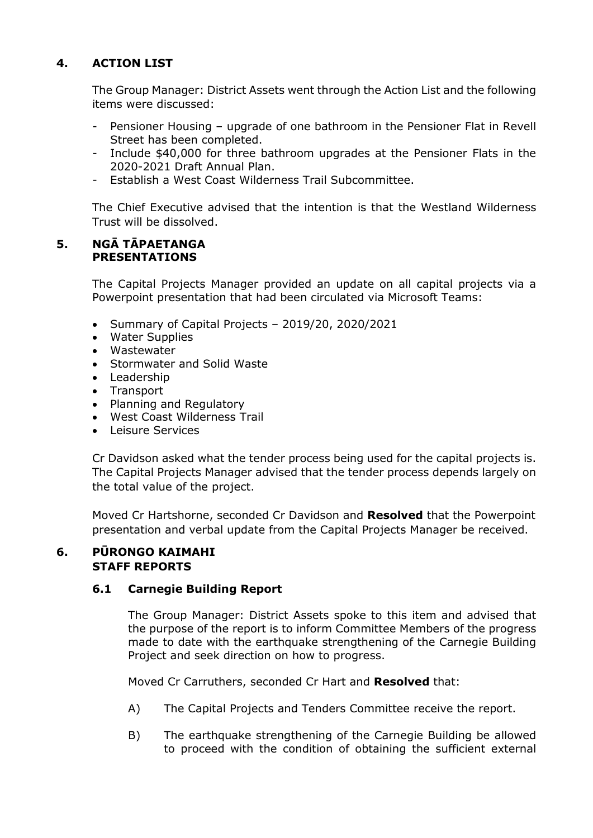## **4. ACTION LIST**

The Group Manager: District Assets went through the Action List and the following items were discussed:

- Pensioner Housing upgrade of one bathroom in the Pensioner Flat in Revell Street has been completed.
- Include \$40,000 for three bathroom upgrades at the Pensioner Flats in the 2020-2021 Draft Annual Plan.
- Establish a West Coast Wilderness Trail Subcommittee.

The Chief Executive advised that the intention is that the Westland Wilderness Trust will be dissolved.

## **5. NGĀ TĀPAETANGA PRESENTATIONS**

The Capital Projects Manager provided an update on all capital projects via a Powerpoint presentation that had been circulated via Microsoft Teams:

- Summary of Capital Projects 2019/20, 2020/2021
- Water Supplies
- Wastewater
- Stormwater and Solid Waste
- Leadership
- Transport
- Planning and Regulatory
- West Coast Wilderness Trail
- Leisure Services

Cr Davidson asked what the tender process being used for the capital projects is. The Capital Projects Manager advised that the tender process depends largely on the total value of the project.

Moved Cr Hartshorne, seconded Cr Davidson and **Resolved** that the Powerpoint presentation and verbal update from the Capital Projects Manager be received.

#### **6. PŪRONGO KAIMAHI STAFF REPORTS**

## **6.1 Carnegie Building Report**

The Group Manager: District Assets spoke to this item and advised that the purpose of the report is to inform Committee Members of the progress made to date with the earthquake strengthening of the Carnegie Building Project and seek direction on how to progress.

Moved Cr Carruthers, seconded Cr Hart and **Resolved** that:

- A) The Capital Projects and Tenders Committee receive the report.
- B) The earthquake strengthening of the Carnegie Building be allowed to proceed with the condition of obtaining the sufficient external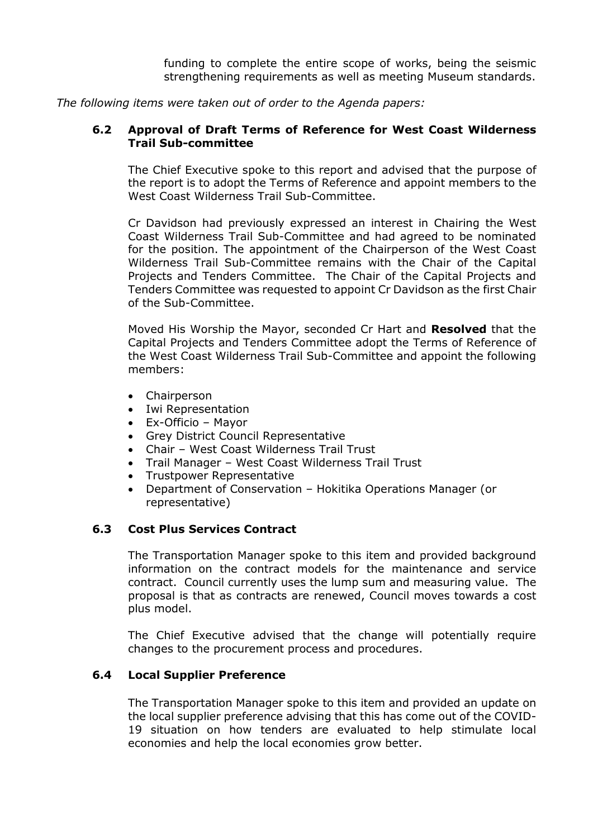funding to complete the entire scope of works, being the seismic strengthening requirements as well as meeting Museum standards.

*The following items were taken out of order to the Agenda papers:* 

## **6.2 Approval of Draft Terms of Reference for West Coast Wilderness Trail Sub-committee**

The Chief Executive spoke to this report and advised that the purpose of the report is to adopt the Terms of Reference and appoint members to the West Coast Wilderness Trail Sub-Committee.

Cr Davidson had previously expressed an interest in Chairing the West Coast Wilderness Trail Sub-Committee and had agreed to be nominated for the position. The appointment of the Chairperson of the West Coast Wilderness Trail Sub-Committee remains with the Chair of the Capital Projects and Tenders Committee. The Chair of the Capital Projects and Tenders Committee was requested to appoint Cr Davidson as the first Chair of the Sub-Committee.

Moved His Worship the Mayor, seconded Cr Hart and **Resolved** that the Capital Projects and Tenders Committee adopt the Terms of Reference of the West Coast Wilderness Trail Sub-Committee and appoint the following members:

- Chairperson
- Iwi Representation
- Ex-Officio Mayor
- Grey District Council Representative
- Chair West Coast Wilderness Trail Trust
- Trail Manager West Coast Wilderness Trail Trust
- Trustpower Representative
- Department of Conservation Hokitika Operations Manager (or representative)

## **6.3 Cost Plus Services Contract**

The Transportation Manager spoke to this item and provided background information on the contract models for the maintenance and service contract. Council currently uses the lump sum and measuring value. The proposal is that as contracts are renewed, Council moves towards a cost plus model.

The Chief Executive advised that the change will potentially require changes to the procurement process and procedures.

## **6.4 Local Supplier Preference**

The Transportation Manager spoke to this item and provided an update on the local supplier preference advising that this has come out of the COVID-19 situation on how tenders are evaluated to help stimulate local economies and help the local economies grow better.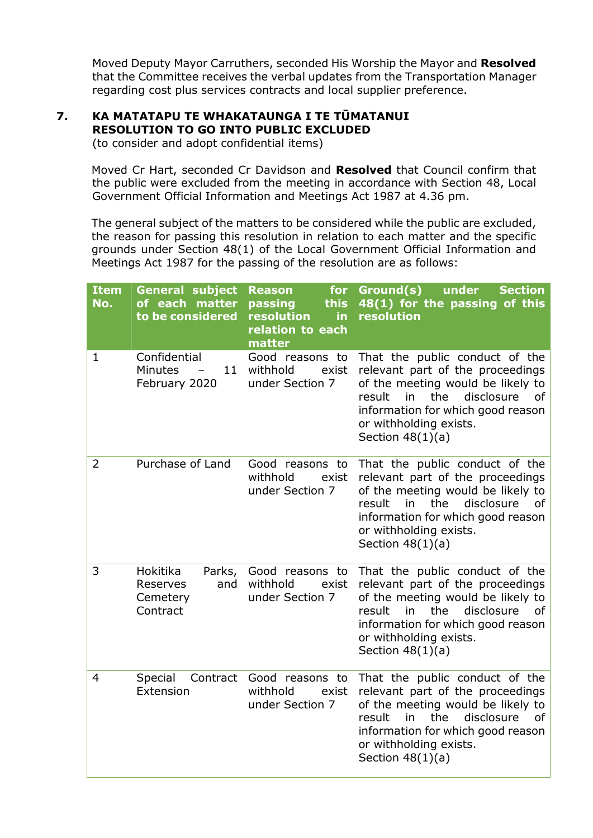Moved Deputy Mayor Carruthers, seconded His Worship the Mayor and **Resolved** that the Committee receives the verbal updates from the Transportation Manager regarding cost plus services contracts and local supplier preference.

# **7. KA MATATAPU TE WHAKATAUNGA I TE TŪMATANUI RESOLUTION TO GO INTO PUBLIC EXCLUDED**

(to consider and adopt confidential items)

Moved Cr Hart, seconded Cr Davidson and **Resolved** that Council confirm that the public were excluded from the meeting in accordance with Section 48, Local Government Official Information and Meetings Act 1987 at 4.36 pm.

The general subject of the matters to be considered while the public are excluded, the reason for passing this resolution in relation to each matter and the specific grounds under Section 48(1) of the Local Government Official Information and Meetings Act 1987 for the passing of the resolution are as follows:

| <b>Item</b><br>No. | <b>General subject</b><br>of each matter<br>to be considered  | <b>Reason</b><br>for<br>this<br>passing<br>resolution<br>in.<br>relation to each<br>matter | Ground(s)<br><b>Section</b><br>under<br>48(1) for the passing of this<br>resolution                                                                                                                                                     |
|--------------------|---------------------------------------------------------------|--------------------------------------------------------------------------------------------|-----------------------------------------------------------------------------------------------------------------------------------------------------------------------------------------------------------------------------------------|
| $\mathbf{1}$       | Confidential<br>Minutes<br>11 <sup>1</sup><br>February 2020   | Good reasons to<br>withhold<br>exist<br>under Section 7                                    | That the public conduct of the<br>relevant part of the proceedings<br>of the meeting would be likely to<br>the<br>disclosure<br>result<br>in<br>of<br>information for which good reason<br>or withholding exists.<br>Section $48(1)(a)$ |
| 2                  | Purchase of Land                                              | Good reasons to<br>withhold<br>exist<br>under Section 7                                    | That the public conduct of the<br>relevant part of the proceedings<br>of the meeting would be likely to<br>result<br>in<br>the<br>disclosure<br>of<br>information for which good reason<br>or withholding exists.<br>Section $48(1)(a)$ |
| 3                  | Hokitika<br>Parks,<br>Reserves<br>and<br>Cemetery<br>Contract | Good reasons to<br>withhold<br>exist<br>under Section 7                                    | That the public conduct of the<br>relevant part of the proceedings<br>of the meeting would be likely to<br>the<br>disclosure<br>result<br>in<br>of<br>information for which good reason<br>or withholding exists.<br>Section $48(1)(a)$ |
| 4                  | Special<br>Contract<br>Extension                              | Good reasons to<br>withhold<br>exist<br>under Section 7                                    | That the public conduct of the<br>relevant part of the proceedings<br>of the meeting would be likely to<br>result<br>in<br>the<br>disclosure<br>0f<br>information for which good reason<br>or withholding exists.<br>Section $48(1)(a)$ |